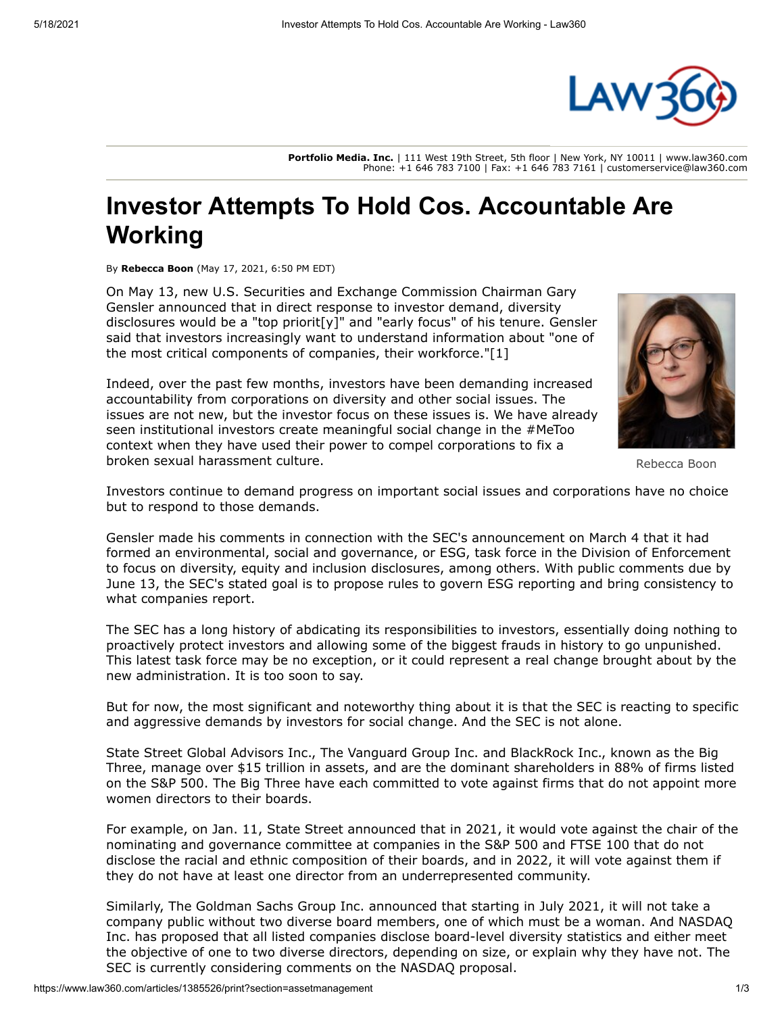

**Portfolio Media. Inc.** | 111 West 19th Street, 5th floor | New York, NY 10011 | www.law360.com Phone: +1 646 783 7100 | Fax: +1 646 783 7161 | customerservice@law360.com

## **Investor Attempts To Hold Cos. Accountable Are Working**

By **Rebecca Boon** (May 17, 2021, 6:50 PM EDT)

On May 13, new [U.S. Securities and Exchange Commission](https://www.law360.com/agencies/u-s-securities-and-exchange-commission) Chairman Gary Gensler announced that in direct response to investor demand, diversity disclosures would be a "top priorit[y]" and "early focus" of his tenure. Gensler said that investors increasingly want to understand information about "one of the most critical components of companies, their workforce."[1]

Indeed, over the past few months, investors have been demanding increased accountability from corporations on diversity and other social issues. The issues are not new, but the investor focus on these issues is. We have already seen institutional investors create meaningful social change in the #MeToo context when they have used their power to compel corporations to fix a broken sexual harassment culture.



Rebecca Boon

Investors continue to demand progress on important social issues and corporations have no choice but to respond to those demands.

Gensler made his comments in connection with the SEC's announcement on March 4 that it had formed an environmental, social and governance, or ESG, task force in the Division of Enforcement to focus on diversity, equity and inclusion disclosures, among others. With public comments due by June 13, the SEC's stated goal is to propose rules to govern ESG reporting and bring consistency to what companies report.

The SEC has a long history of abdicating its responsibilities to investors, essentially doing nothing to proactively protect investors and allowing some of the biggest frauds in history to go unpunished. This latest task force may be no exception, or it could represent a real change brought about by the new administration. It is too soon to say.

But for now, the most significant and noteworthy thing about it is that the SEC is reacting to specific and aggressive demands by investors for social change. And the SEC is not alone.

[State Street Global Advisors Inc](https://www.law360.com/companies/state-street-global-advisors-inc)., [The Vanguard Group Inc](https://www.law360.com/companies/the-vanguard-group-inc). and [BlackRock Inc.](https://www.law360.com/companies/blackrock-inc), known as the Big Three, manage over \$15 trillion in assets, and are the dominant shareholders in 88% of firms listed on the S&P 500. The Big Three have each committed to vote against firms that do not appoint more women directors to their boards.

For example, on Jan. 11, State Street announced that in 2021, it would vote against the chair of the nominating and governance committee at companies in the S&P 500 and FTSE 100 that do not disclose the racial and ethnic composition of their boards, and in 2022, it will vote against them if they do not have at least one director from an underrepresented community.

Similarly, The [Goldman Sachs Group Inc](https://www.law360.com/companies/the-goldman-sachs-group-inc). announced that starting in July 2021, it will not take a [company public without two diverse board members, one of which must be a woman. And NASDAQ](https://www.law360.com/companies/nasdaq-inc) Inc. has proposed that all listed companies disclose board-level diversity statistics and either meet the objective of one to two diverse directors, depending on size, or explain why they have not. The SEC is currently considering comments on the NASDAQ proposal.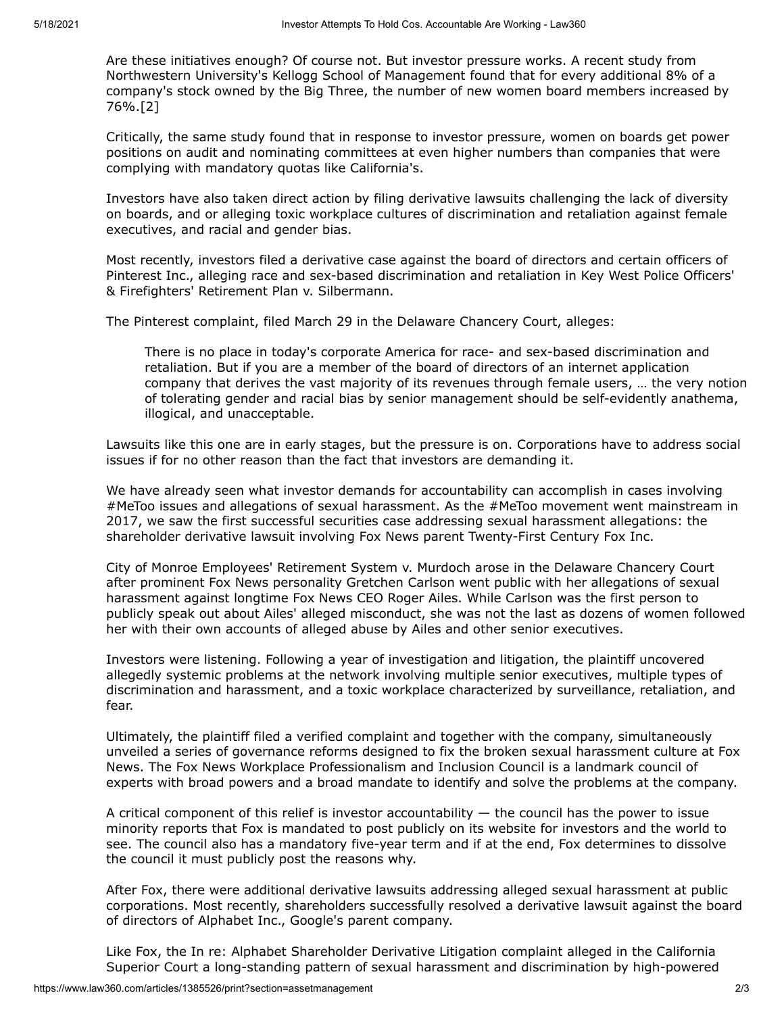Are these initiatives enough? Of course not. But investor pressure works. A recent study from [Northwestern University](https://www.law360.com/companies/northwestern-university)'s Kellogg School of Management found that for every additional 8% of a company's stock owned by the Big Three, the number of new women board members increased by 76%.[2]

Critically, the same study found that in response to investor pressure, women on boards get power positions on audit and nominating committees at even higher numbers than companies that were complying with mandatory quotas like California's.

Investors have also taken direct action by filing derivative lawsuits challenging the lack of diversity on boards, and or alleging toxic workplace cultures of discrimination and retaliation against female executives, and racial and gender bias.

Most recently, investors filed a derivative case against the board of directors and certain officers of [Pinterest Inc](https://www.law360.com/companies/pinterest-inc)., alleging race and sex-based discrimination and retaliation in Key West Police Officers' & Firefighters' Retirement Plan v. Silbermann.

The Pinterest complaint, filed March 29 in the [Delaware Chancery Court,](https://www.law360.com/agencies/delaware-court-of-chancery) alleges:

There is no place in today's corporate America for race- and sex-based discrimination and retaliation. But if you are a member of the board of directors of an internet application company that derives the vast majority of its revenues through female users, … the very notion of tolerating gender and racial bias by senior management should be self-evidently anathema, illogical, and unacceptable.

Lawsuits like this one are in early stages, but the pressure is on. Corporations have to address social issues if for no other reason than the fact that investors are demanding it.

We have already seen what investor demands for accountability can accomplish in cases involving #MeToo issues and allegations of sexual harassment. As the #MeToo movement went mainstream in 2017, we saw the first successful securities case addressing sexual harassment allegations: the shareholder derivative lawsuit involving Fox News parent [Twenty-First Century Fox Inc](https://www.law360.com/companies/fox-corp).

City of Monroe Employees' Retirement System v. Murdoch arose in the Delaware Chancery Court after prominent Fox News personality Gretchen Carlson went public with her allegations of sexual harassment against longtime Fox News CEO Roger Ailes. While Carlson was the first person to publicly speak out about Ailes' alleged misconduct, she was not the last as dozens of women followed her with their own accounts of alleged abuse by Ailes and other senior executives.

Investors were listening. Following a year of investigation and litigation, the plaintiff uncovered allegedly systemic problems at the network involving multiple senior executives, multiple types of discrimination and harassment, and a toxic workplace characterized by surveillance, retaliation, and fear.

Ultimately, the plaintiff filed a verified complaint and together with the company, simultaneously unveiled a series of governance reforms designed to fix the broken sexual harassment culture at Fox News. The Fox News Workplace Professionalism and Inclusion Council is a landmark council of experts with broad powers and a broad mandate to identify and solve the problems at the company.

A critical component of this relief is investor accountability  $-$  the council has the power to issue minority reports that Fox is mandated to post publicly on its website for investors and the world to see. The council also has a mandatory five-year term and if at the end, Fox determines to dissolve the council it must publicly post the reasons why.

After Fox, there were additional derivative lawsuits addressing alleged sexual harassment at public corporations. Most recently, shareholders successfully resolved a derivative lawsuit against the board of directors of [Alphabet Inc](https://www.law360.com/companies/alphabet-inc)., [Google](https://www.law360.com/companies/google-inc)'s parent company.

Like Fox, the In re: Alphabet Shareholder Derivative Litigation complaint alleged in the California Superior Court a long-standing pattern of sexual harassment and discrimination by high-powered